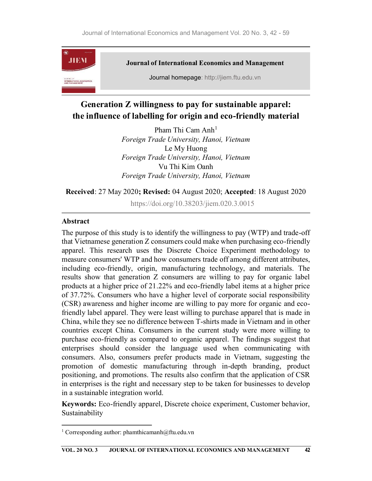

# Generation Z willingness to pay for sustainable apparel: the influence of labelling for origin and eco-friendly material

Pham Thi Cam  $Anh<sup>1</sup>$ Foreign Trade University, Hanoi, Vietnam Le My Huong Foreign Trade University, Hanoi, Vietnam Vu Thi Kim Oanh Foreign Trade University, Hanoi, Vietnam

#### Received: 27 May 2020; Revised: 04 August 2020; Accepted: 18 August 2020

https://doi.org/10.38203/jiem.020.3.0015

#### Abstract

The purpose of this study is to identify the willingness to pay (WTP) and trade-off that Vietnamese generation Z consumers could make when purchasing eco-friendly apparel. This research uses the Discrete Choice Experiment methodology to measure consumers' WTP and how consumers trade off among different attributes, including eco-friendly, origin, manufacturing technology, and materials. The results show that generation Z consumers are willing to pay for organic label products at a higher price of 21.22% and eco-friendly label items at a higher price of 37.72%. Consumers who have a higher level of corporate social responsibility (CSR) awareness and higher income are willing to pay more for organic and ecofriendly label apparel. They were least willing to purchase apparel that is made in China, while they see no difference between T-shirts made in Vietnam and in other countries except China. Consumers in the current study were more willing to purchase eco-friendly as compared to organic apparel. The findings suggest that enterprises should consider the language used when communicating with consumers. Also, consumers prefer products made in Vietnam, suggesting the promotion of domestic manufacturing through in-depth branding, product positioning, and promotions. The results also confirm that the application of CSR in enterprises is the right and necessary step to be taken for businesses to develop in a sustainable integration world.

Keywords: Eco-friendly apparel, Discrete choice experiment, Customer behavior, Sustainability

<sup>&</sup>lt;sup>1</sup> Corresponding author: phamthicamanh@ftu.edu.vn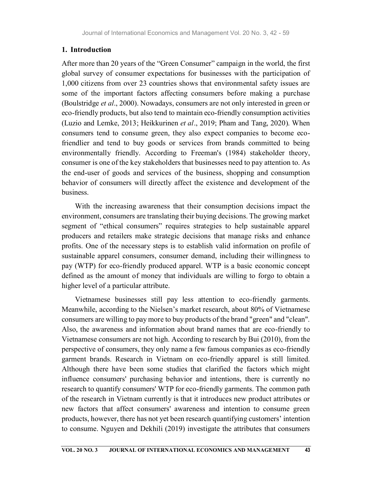# 1. Introduction

After more than 20 years of the "Green Consumer" campaign in the world, the first global survey of consumer expectations for businesses with the participation of 1,000 citizens from over 23 countries shows that environmental safety issues are some of the important factors affecting consumers before making a purchase (Boulstridge et al., 2000). Nowadays, consumers are not only interested in green or eco-friendly products, but also tend to maintain eco-friendly consumption activities (Luzio and Lemke, 2013; Heikkurinen et al., 2019; Pham and Tang, 2020). When consumers tend to consume green, they also expect companies to become ecofriendlier and tend to buy goods or services from brands committed to being environmentally friendly. According to Freeman's (1984) stakeholder theory, consumer is one of the key stakeholders that businesses need to pay attention to. As the end-user of goods and services of the business, shopping and consumption behavior of consumers will directly affect the existence and development of the business.

With the increasing awareness that their consumption decisions impact the environment, consumers are translating their buying decisions. The growing market segment of "ethical consumers" requires strategies to help sustainable apparel producers and retailers make strategic decisions that manage risks and enhance profits. One of the necessary steps is to establish valid information on profile of sustainable apparel consumers, consumer demand, including their willingness to pay (WTP) for eco-friendly produced apparel. WTP is a basic economic concept defined as the amount of money that individuals are willing to forgo to obtain a higher level of a particular attribute.

Vietnamese businesses still pay less attention to eco-friendly garments. Meanwhile, according to the Nielsen's market research, about 80% of Vietnamese consumers are willing to pay more to buy products of the brand "green" and "clean". Also, the awareness and information about brand names that are eco-friendly to Vietnamese consumers are not high. According to research by Bui (2010), from the perspective of consumers, they only name a few famous companies as eco-friendly garment brands. Research in Vietnam on eco-friendly apparel is still limited. Although there have been some studies that clarified the factors which might influence consumers' purchasing behavior and intentions, there is currently no research to quantify consumers' WTP for eco-friendly garments. The common path of the research in Vietnam currently is that it introduces new product attributes or new factors that affect consumers' awareness and intention to consume green products, however, there has not yet been research quantifying customers' intention to consume. Nguyen and Dekhili (2019) investigate the attributes that consumers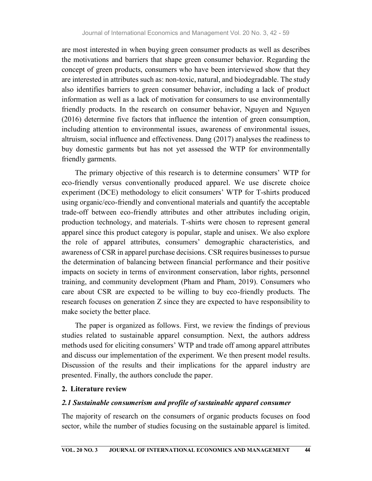are most interested in when buying green consumer products as well as describes the motivations and barriers that shape green consumer behavior. Regarding the concept of green products, consumers who have been interviewed show that they are interested in attributes such as: non-toxic, natural, and biodegradable. The study also identifies barriers to green consumer behavior, including a lack of product information as well as a lack of motivation for consumers to use environmentally friendly products. In the research on consumer behavior, Nguyen and Nguyen (2016) determine five factors that influence the intention of green consumption, including attention to environmental issues, awareness of environmental issues, altruism, social influence and effectiveness. Dang (2017) analyses the readiness to buy domestic garments but has not yet assessed the WTP for environmentally friendly garments.

The primary objective of this research is to determine consumers' WTP for eco-friendly versus conventionally produced apparel. We use discrete choice experiment (DCE) methodology to elicit consumers' WTP for T-shirts produced using organic/eco-friendly and conventional materials and quantify the acceptable trade-off between eco-friendly attributes and other attributes including origin, production technology, and materials. T-shirts were chosen to represent general apparel since this product category is popular, staple and unisex. We also explore the role of apparel attributes, consumers' demographic characteristics, and awareness of CSR in apparel purchase decisions. CSR requires businesses to pursue the determination of balancing between financial performance and their positive impacts on society in terms of environment conservation, labor rights, personnel training, and community development (Pham and Pham, 2019). Consumers who care about CSR are expected to be willing to buy eco-friendly products. The research focuses on generation Z since they are expected to have responsibility to make society the better place.

The paper is organized as follows. First, we review the findings of previous studies related to sustainable apparel consumption. Next, the authors address methods used for eliciting consumers' WTP and trade off among apparel attributes and discuss our implementation of the experiment. We then present model results. Discussion of the results and their implications for the apparel industry are presented. Finally, the authors conclude the paper.

#### 2. Literature review

#### 2.1 Sustainable consumerism and profile of sustainable apparel consumer

The majority of research on the consumers of organic products focuses on food sector, while the number of studies focusing on the sustainable apparel is limited.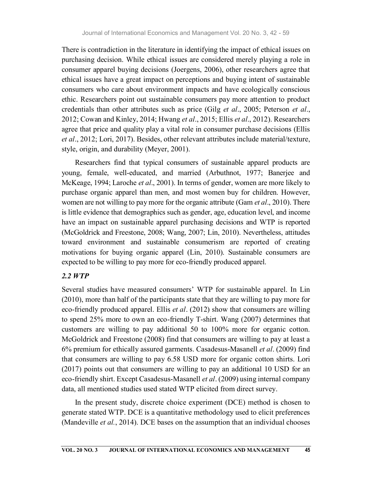There is contradiction in the literature in identifying the impact of ethical issues on purchasing decision. While ethical issues are considered merely playing a role in consumer apparel buying decisions (Joergens, 2006), other researchers agree that ethical issues have a great impact on perceptions and buying intent of sustainable consumers who care about environment impacts and have ecologically conscious ethic. Researchers point out sustainable consumers pay more attention to product credentials than other attributes such as price (Gilg *et al.*, 2005; Peterson *et al.*, 2012; Cowan and Kinley, 2014; Hwang *et al.*, 2015; Ellis *et al.*, 2012). Researchers agree that price and quality play a vital role in consumer purchase decisions (Ellis et al., 2012; Lori, 2017). Besides, other relevant attributes include material/texture, style, origin, and durability (Meyer, 2001).

Researchers find that typical consumers of sustainable apparel products are young, female, well-educated, and married (Arbuthnot, 1977; Banerjee and McKeage, 1994; Laroche et al., 2001). In terms of gender, women are more likely to purchase organic apparel than men, and most women buy for children. However, women are not willing to pay more for the organic attribute (Gam *et al.*, 2010). There is little evidence that demographics such as gender, age, education level, and income have an impact on sustainable apparel purchasing decisions and WTP is reported (McGoldrick and Freestone, 2008; Wang, 2007; Lin, 2010). Nevertheless, attitudes toward environment and sustainable consumerism are reported of creating motivations for buying organic apparel (Lin, 2010). Sustainable consumers are expected to be willing to pay more for eco-friendly produced apparel.

# 2.2 WTP

Several studies have measured consumers' WTP for sustainable apparel. In Lin (2010), more than half of the participants state that they are willing to pay more for eco-friendly produced apparel. Ellis *et al.* (2012) show that consumers are willing to spend 25% more to own an eco-friendly T-shirt. Wang (2007) determines that customers are willing to pay additional 50 to 100% more for organic cotton. McGoldrick and Freestone (2008) find that consumers are willing to pay at least a 6% premium for ethically assured garments. Casadesus-Masanell et al. (2009) find that consumers are willing to pay 6.58 USD more for organic cotton shirts. Lori (2017) points out that consumers are willing to pay an additional 10 USD for an eco-friendly shirt. Except Casadesus-Masanell *et al.* (2009) using internal company data, all mentioned studies used stated WTP elicited from direct survey.

In the present study, discrete choice experiment (DCE) method is chosen to generate stated WTP. DCE is a quantitative methodology used to elicit preferences (Mandeville *et al.*, 2014). DCE bases on the assumption that an individual chooses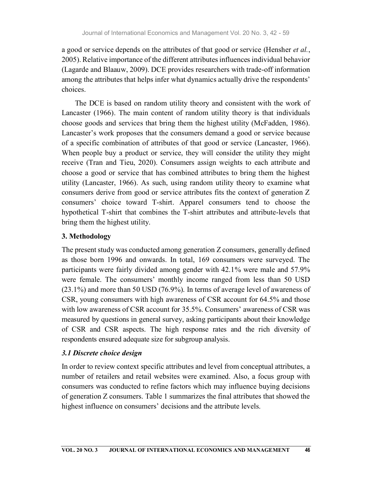a good or service depends on the attributes of that good or service (Hensher *et al.*, 2005). Relative importance of the different attributes influences individual behavior (Lagarde and Blaauw, 2009). DCE provides researchers with trade-off information among the attributes that helps infer what dynamics actually drive the respondents' choices.

The DCE is based on random utility theory and consistent with the work of Lancaster (1966). The main content of random utility theory is that individuals choose goods and services that bring them the highest utility (McFadden, 1986). Lancaster's work proposes that the consumers demand a good or service because of a specific combination of attributes of that good or service (Lancaster, 1966). When people buy a product or service, they will consider the utility they might receive (Tran and Tieu, 2020). Consumers assign weights to each attribute and choose a good or service that has combined attributes to bring them the highest utility (Lancaster, 1966). As such, using random utility theory to examine what consumers derive from good or service attributes fits the context of generation Z consumers' choice toward T-shirt. Apparel consumers tend to choose the hypothetical T-shirt that combines the T-shirt attributes and attribute-levels that bring them the highest utility.

# 3. Methodology

The present study was conducted among generation Z consumers, generally defined as those born 1996 and onwards. In total, 169 consumers were surveyed. The participants were fairly divided among gender with 42.1% were male and 57.9% were female. The consumers' monthly income ranged from less than 50 USD (23.1%) and more than 50 USD (76.9%). In terms of average level of awareness of CSR, young consumers with high awareness of CSR account for 64.5% and those with low awareness of CSR account for 35.5%. Consumers' awareness of CSR was measured by questions in general survey, asking participants about their knowledge of CSR and CSR aspects. The high response rates and the rich diversity of respondents ensured adequate size for subgroup analysis.

# 3.1 Discrete choice design

In order to review context specific attributes and level from conceptual attributes, a number of retailers and retail websites were examined. Also, a focus group with consumers was conducted to refine factors which may influence buying decisions of generation Z consumers. Table 1 summarizes the final attributes that showed the highest influence on consumers' decisions and the attribute levels.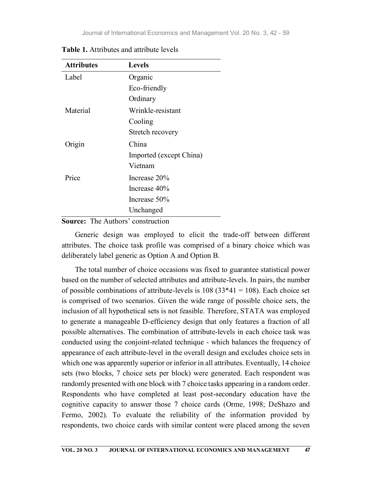| <b>Attributes</b> | <b>Levels</b>           |
|-------------------|-------------------------|
| Label             | Organic                 |
|                   | Eco-friendly            |
|                   | Ordinary                |
| Material          | Wrinkle-resistant       |
|                   | Cooling                 |
|                   | Stretch recovery        |
| Origin            | China                   |
|                   | Imported (except China) |
|                   | Vietnam                 |
| Price             | Increase 20%            |
|                   | Increase $40\%$         |
|                   | Increase 50%            |
|                   | Unchanged               |

Table 1. Attributes and attribute levels

## Source: The Authors' construction

Generic design was employed to elicit the trade-off between different attributes. The choice task profile was comprised of a binary choice which was deliberately label generic as Option A and Option B.

The total number of choice occasions was fixed to guarantee statistical power based on the number of selected attributes and attribute-levels. In pairs, the number of possible combinations of attribute-levels is  $108 (33*41 = 108)$ . Each choice set is comprised of two scenarios. Given the wide range of possible choice sets, the inclusion of all hypothetical sets is not feasible. Therefore, STATA was employed to generate a manageable D-efficiency design that only features a fraction of all possible alternatives. The combination of attribute-levels in each choice task was conducted using the conjoint-related technique - which balances the frequency of appearance of each attribute-level in the overall design and excludes choice sets in which one was apparently superior or inferior in all attributes. Eventually, 14 choice sets (two blocks, 7 choice sets per block) were generated. Each respondent was randomly presented with one block with 7 choice tasks appearing in a random order. Respondents who have completed at least post-secondary education have the cognitive capacity to answer those 7 choice cards (Orme, 1998; DeShazo and Fermo, 2002). To evaluate the reliability of the information provided by respondents, two choice cards with similar content were placed among the seven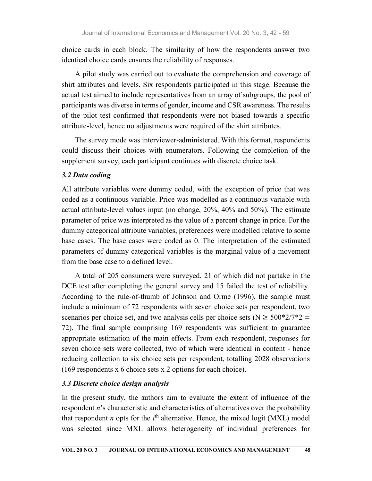choice cards in each block. The similarity of how the respondents answer two identical choice cards ensures the reliability of responses.

A pilot study was carried out to evaluate the comprehension and coverage of shirt attributes and levels. Six respondents participated in this stage. Because the actual test aimed to include representatives from an array of subgroups, the pool of participants was diverse in terms of gender, income and CSR awareness. The results of the pilot test confirmed that respondents were not biased towards a specific attribute-level, hence no adjustments were required of the shirt attributes.

The survey mode was interviewer-administered. With this format, respondents could discuss their choices with enumerators. Following the completion of the supplement survey, each participant continues with discrete choice task.

### 3.2 Data coding

All attribute variables were dummy coded, with the exception of price that was coded as a continuous variable. Price was modelled as a continuous variable with actual attribute-level values input (no change, 20%, 40% and 50%). The estimate parameter of price was interpreted as the value of a percent change in price. For the dummy categorical attribute variables, preferences were modelled relative to some base cases. The base cases were coded as 0. The interpretation of the estimated parameters of dummy categorical variables is the marginal value of a movement from the base case to a defined level.

A total of 205 consumers were surveyed, 21 of which did not partake in the DCE test after completing the general survey and 15 failed the test of reliability. According to the rule-of-thumb of Johnson and Orme (1996), the sample must include a minimum of 72 respondents with seven choice sets per respondent, two scenarios per choice set, and two analysis cells per choice sets ( $N \ge 500*2/7*2 =$ 72). The final sample comprising 169 respondents was sufficient to guarantee appropriate estimation of the main effects. From each respondent, responses for seven choice sets were collected, two of which were identical in content - hence reducing collection to six choice sets per respondent, totalling 2028 observations (169 respondents x 6 choice sets x 2 options for each choice).

### 3.3 Discrete choice design analysis

In the present study, the authors aim to evaluate the extent of influence of the respondent n's characteristic and characteristics of alternatives over the probability that respondent *n* opts for the  $i<sup>th</sup>$  alternative. Hence, the mixed logit (MXL) model was selected since MXL allows heterogeneity of individual preferences for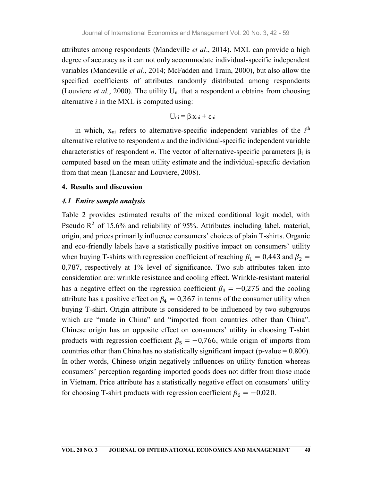attributes among respondents (Mandeville et al., 2014). MXL can provide a high degree of accuracy as it can not only accommodate individual-specific independent variables (Mandeville *et al.*, 2014; McFadden and Train, 2000), but also allow the specified coefficients of attributes randomly distributed among respondents (Louviere et al., 2000). The utility  $U_{ni}$  that a respondent *n* obtains from choosing alternative  $i$  in the MXL is computed using:

$$
U_{ni} = \beta_i x_{ni} + \epsilon_{ni}
$$

in which,  $x_{ni}$  refers to alternative-specific independent variables of the  $i<sup>th</sup>$ the contract of the contract of the contract of the contract of the contract of the contract of the contract of the contract of the contract of the contract of the contract of the contract of the contract of the contract o alternative relative to respondent  $n$  and the individual-specific independent variable characteristics of respondent *n*. The vector of alternative-specific parameters  $\beta_i$  is computed based on the mean utility estimate and the individual-specific deviation from that mean (Lancsar and Louviere, 2008).

#### 4. Results and discussion

#### 4.1 Entire sample analysis

Table 2 provides estimated results of the mixed conditional logit model, with Pseudo  $\mathbb{R}^2$  of 15.6% and reliability of 95%. Attributes including label, material, origin, and prices primarily influence consumers' choices of plain T-shirts. Organic and eco-friendly labels have a statistically positive impact on consumers' utility characteristics of respondent *n*. The vector of alternative-specific parameters  $\beta_i$  is computed based on the mean utility estimate and the individual-specific deviation from that mean (Lancsar and Louviere, 2008).<br>4. 0,787, respectively at 1% level of significance. Two sub attributes taken into consideration are: wrinkle resistance and cooling effect. Wrinkle-resistant material **4. Results and discussion**<br> **4.1 Entire sample analysis**<br> **Table 2** provides estimated results of the mixed conditional logit model, with<br>
Pseudo R<sup>2</sup> of 15.6% and reliability of 95%. Attributes including label, material **4.1 Entire sample analysis**<br>Table 2 provides estimated results of the mixed conditional logit model, with<br>Pseudo R<sup>2</sup> of 15.6% and reliability of 95%. Attributes including label, material,<br>origin, and prices primarily in buying T-shirt. Origin attribute is considered to be influenced by two subgroups which are "made in China" and "imported from countries other than China". Chinese origin has an opposite effect on consumers' utility in choosing T-shirt origin, and prices primarily influence consumers' choices of plain T-shirts. Organic<br>and eco-firendly labels have a statistically positive impact on consumers' utility<br>when buying T-shirts with regression coefficient of r countries other than China has no statistically significant impact (p-value  $= 0.800$ ). In other words, Chinese origin negatively influences on utility function whereas consumers' perception regarding imported goods does not differ from those made in Vietnam. Price attribute has a statistically negative effect on consumers' utility has a negative effect on the regression coefficient  $\beta_2 = -0.275$  and the cooling<br>attribute has a positive effect on  $\beta_4 = 0.367$  in terms of the consumer utility when<br>buying T-shirt. Origin attribute is considered to be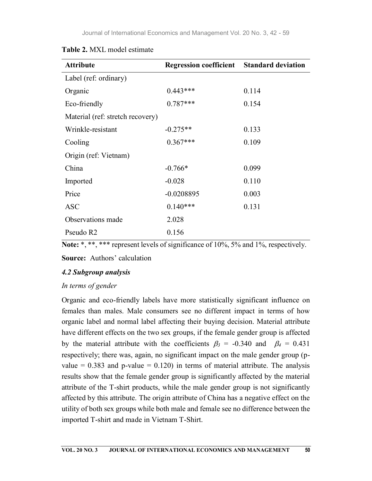| <b>Attribute</b>                 | <b>Regression coefficient</b> | <b>Standard deviation</b> |
|----------------------------------|-------------------------------|---------------------------|
| Label (ref: ordinary)            |                               |                           |
| Organic                          | $0.443***$                    | 0.114                     |
| Eco-friendly                     | $0.787***$                    | 0.154                     |
| Material (ref: stretch recovery) |                               |                           |
| Wrinkle-resistant                | $-0.275**$                    | 0.133                     |
| Cooling                          | $0.367***$                    | 0.109                     |
| Origin (ref: Vietnam)            |                               |                           |
| China                            | $-0.766*$                     | 0.099                     |
| Imported                         | $-0.028$                      | 0.110                     |
| Price                            | $-0.0208895$                  | 0.003                     |
| <b>ASC</b>                       | $0.140***$                    | 0.131                     |
| Observations made                | 2.028                         |                           |
| Pseudo R2                        | 0.156                         |                           |

| Table 2. MXL model estimate |
|-----------------------------|
|-----------------------------|

| Note: *, **, *** represent levels of significance of 10%, 5% and 1%, respectively. |  |
|------------------------------------------------------------------------------------|--|
|------------------------------------------------------------------------------------|--|

Source: Authors' calculation

# 4.2 Subgroup analysis

# In terms of gender

Organic and eco-friendly labels have more statistically significant influence on females than males. Male consumers see no different impact in terms of how organic label and normal label affecting their buying decision. Material attribute have different effects on the two sex groups, if the female gender group is affected by the material attribute with the coefficients  $\beta_3 = -0.340$  and  $\beta_4 = 0.431$ respectively; there was, again, no significant impact on the male gender group (pvalue =  $0.383$  and p-value =  $0.120$ ) in terms of material attribute. The analysis results show that the female gender group is significantly affected by the material attribute of the T-shirt products, while the male gender group is not significantly affected by this attribute. The origin attribute of China has a negative effect on the utility of both sex groups while both male and female see no difference between the imported T-shirt and made in Vietnam T-Shirt.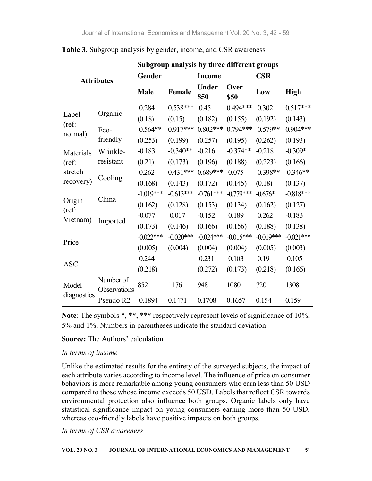|                      |                           | Subgroup analysis by three different groups |             |                       |              |             |             |  |
|----------------------|---------------------------|---------------------------------------------|-------------|-----------------------|--------------|-------------|-------------|--|
| <b>Attributes</b>    |                           | Gender                                      |             | <b>Income</b>         |              | <b>CSR</b>  |             |  |
|                      |                           | <b>Male</b>                                 | Female      | Under<br>\$50         | Over<br>\$50 | Low         | <b>High</b> |  |
|                      |                           | 0.284                                       | $0.538***$  | 0.45                  | $0.494***$   | 0.302       | $0.517***$  |  |
| Label                | Organic                   | (0.18)                                      | (0.15)      | (0.182)               | (0.155)      | (0.192)     | (0.143)     |  |
| (ref:<br>normal)     | Eco-                      | $0.564**$                                   | $0.917***$  | $0.802***$            | $0.794***$   | $0.579**$   | $0.904***$  |  |
|                      | friendly                  | (0.253)                                     | (0.199)     | (0.257)               | (0.195)      | (0.262)     | (0.193)     |  |
| Materials            | Wrinkle-                  | $-0.183$                                    | $-0.340**$  | $-0.216$              | $-0.374**$   | $-0.218$    | $-0.309*$   |  |
| $(ref)$ :            | resistant                 | (0.21)                                      | (0.173)     | (0.196)               | (0.188)      | (0.223)     | (0.166)     |  |
| stretch              |                           | 0.262                                       |             | $0.431***$ $0.689***$ | 0.075        | $0.398**$   | $0.346**$   |  |
| recovery)            | Cooling                   | (0.168)                                     | (0.143)     | (0.172)               | (0.145)      | (0.18)      | (0.137)     |  |
|                      | China                     | $-1.019***$                                 | $-0.613***$ | $-0.761***$           | $-0.779***$  | $-0.676*$   | $-0.818***$ |  |
| Origin<br>$(ref)$ :  |                           | (0.162)                                     | (0.128)     | (0.153)               | (0.134)      | (0.162)     | (0.127)     |  |
| Vietnam)             | Imported                  | $-0.077$                                    | 0.017       | $-0.152$              | 0.189        | 0.262       | $-0.183$    |  |
|                      |                           | (0.173)                                     | (0.146)     | (0.166)               | (0.156)      | (0.188)     | (0.138)     |  |
|                      |                           | $-0.022***$                                 | $-0.020***$ | $-0.024***$           | $-0.015***$  | $-0.019***$ | $-0.021***$ |  |
| Price                |                           | (0.005)                                     | (0.004)     | (0.004)               | (0.004)      | (0.005)     | (0.003)     |  |
|                      |                           | 0.244                                       |             | 0.231                 | 0.103        | 0.19        | 0.105       |  |
| <b>ASC</b>           |                           | (0.218)                                     |             | (0.272)               | (0.173)      | (0.218)     | (0.166)     |  |
| Model<br>diagnostics | Number of<br>Observations | 852                                         | 1176        | 948                   | 1080         | 720         | 1308        |  |
|                      | Pseudo R2                 | 0.1894                                      | 0.1471      | 0.1708                | 0.1657       | 0.154       | 0.159       |  |

Table 3. Subgroup analysis by gender, income, and CSR awareness

Note: The symbols \*, \*\*, \*\*\* respectively represent levels of significance of 10%, 5% and 1%. Numbers in parentheses indicate the standard deviation

### Source: The Authors' calculation

#### In terms of income

Unlike the estimated results for the entirety of the surveyed subjects, the impact of each attribute varies according to income level. The influence of price on consumer behaviors is more remarkable among young consumers who earn less than 50 USD compared to those whose income exceeds 50 USD. Labels that reflect CSR towards environmental protection also influence both groups. Organic labels only have statistical significance impact on young consumers earning more than 50 USD, whereas eco-friendly labels have positive impacts on both groups.

In terms of CSR awareness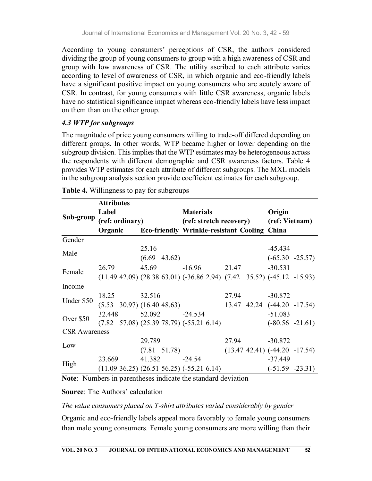According to young consumers' perceptions of CSR, the authors considered dividing the group of young consumers to group with a high awareness of CSR and group with low awareness of CSR. The utility ascribed to each attribute varies according to level of awareness of CSR, in which organic and eco-friendly labels have a significant positive impact on young consumers who are acutely aware of CSR. In contrast, for young consumers with little CSR awareness, organic labels have no statistical significance impact whereas eco-friendly labels have less impact on them than on the other group.

# 4.3 WTP for subgroups

The magnitude of price young consumers willing to trade-off differed depending on different groups. In other words, WTP became higher or lower depending on the subgroup division. This implies that the WTP estimates may be heterogeneous across the respondents with different demographic and CSR awareness factors. Table 4 provides WTP estimates for each attribute of different subgroups. The MXL models in the subgroup analysis section provide coefficient estimates for each subgroup.

|                      | <b>Attributes</b> |                                                                                    |                  |                                        |  |                                     |  |  |
|----------------------|-------------------|------------------------------------------------------------------------------------|------------------|----------------------------------------|--|-------------------------------------|--|--|
|                      | Label             |                                                                                    | <b>Materials</b> |                                        |  | Origin                              |  |  |
| Sub-group            | (ref: ordinary)   |                                                                                    |                  | (ref: stretch recovery) (ref: Vietnam) |  |                                     |  |  |
|                      |                   | Organic Eco-friendly Wrinkle-resistant Cooling China                               |                  |                                        |  |                                     |  |  |
| Gender               |                   |                                                                                    |                  |                                        |  |                                     |  |  |
| Male                 |                   | 25.16                                                                              |                  |                                        |  | $-45.434$                           |  |  |
|                      |                   | $(6.69 \t 43.62)$                                                                  |                  |                                        |  | $(-65.30 -25.57)$                   |  |  |
| Female               | 26.79             | 45.69                                                                              | $-16.96$ 21.47   |                                        |  | $-30.531$                           |  |  |
|                      |                   | $(11.49 \t42.09) (28.38 \t63.01) (-36.86 \t2.94) (7.42 \t35.52) (-45.12 \t-15.93)$ |                  |                                        |  |                                     |  |  |
| Income               |                   |                                                                                    |                  |                                        |  |                                     |  |  |
|                      | 18.25             | 32.516                                                                             |                  |                                        |  | 27.94 -30.872                       |  |  |
| Under \$50           |                   | $(5.53 \t30.97) (16.40 \t48.63)$                                                   |                  |                                        |  | 13.47 42.24 (-44.20 -17.54)         |  |  |
|                      | 32.448            | 52.092 -24.534                                                                     |                  |                                        |  | $-51.083$                           |  |  |
| Over \$50            |                   | $(7.82 \t57.08) (25.39 \t78.79) (-55.21 \t6.14)$                                   |                  |                                        |  | $(-80.56 -21.61)$                   |  |  |
| <b>CSR</b> Awareness |                   |                                                                                    |                  |                                        |  |                                     |  |  |
| Low                  |                   | 29.789                                                                             |                  | 27.94                                  |  | $-30.872$                           |  |  |
|                      |                   | $(7.81 \t51.78)$                                                                   |                  |                                        |  | $(13.47 \t42.41) (-44.20 \t-17.54)$ |  |  |
|                      | 23.669            | 41.382                                                                             | $-24.54$         |                                        |  | $-37.449$                           |  |  |
| High                 |                   | $(11.09 \t36.25) (26.51 \t56.25) (-55.21 \t6.14)$                                  |                  |                                        |  | $(-51.59 -23.31)$                   |  |  |

Table 4. Willingness to pay for subgroups

Note: Numbers in parentheses indicate the standard deviation

### Source: The Authors' calculation

### The value consumers placed on T-shirt attributes varied considerably by gender

Organic and eco-friendly labels appeal more favorably to female young consumers than male young consumers. Female young consumers are more willing than their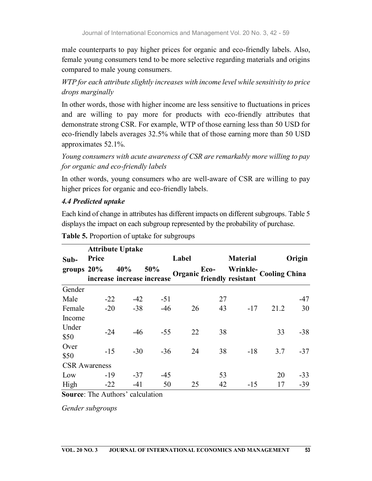male counterparts to pay higher prices for organic and eco-friendly labels. Also, female young consumers tend to be more selective regarding materials and origins compared to male young consumers.

WTP for each attribute slightly increases with income level while sensitivity to price drops marginally

In other words, those with higher income are less sensitive to fluctuations in prices and are willing to pay more for products with eco-friendly attributes that demonstrate strong CSR. For example, WTP of those earning less than 50 USD for eco-friendly labels averages 32.5% while that of those earning more than 50 USD approximates 52.1%.

Young consumers with acute awareness of CSR are remarkably more willing to pay for organic and eco-friendly labels

In other words, young consumers who are well-aware of CSR are willing to pay higher prices for organic and eco-friendly labels.

# 4.4 Predicted uptake

Each kind of change in attributes has different impacts on different subgroups. Table 5 displays the impact on each subgroup represented by the probability of purchase.

|               | <b>Attribute Uptake</b> |       |                                   |         |      |                                             |      |        |
|---------------|-------------------------|-------|-----------------------------------|---------|------|---------------------------------------------|------|--------|
| Sub-          | Price                   |       |                                   | Label   |      | <b>Material</b>                             |      | Origin |
| groups $20\%$ |                         | 40%   | 50%<br>increase increase increase | Organic | Eco- | Wrinkle-Cooling China<br>friendly resistant |      |        |
| Gender        |                         |       |                                   |         |      |                                             |      |        |
| Male          | $-22$                   | $-42$ | $-51$                             |         | 27   |                                             |      | $-47$  |
| Female        | $-20$                   | $-38$ | $-46$                             | 26      | 43   | $-17$                                       | 21.2 | 30     |
| Income        |                         |       |                                   |         |      |                                             |      |        |
| Under<br>\$50 | $-24$                   | $-46$ | $-55$                             | 22      | 38   |                                             | 33   | $-38$  |
| Over<br>\$50  | $-15$                   | $-30$ | $-36$                             | 24      | 38   | $-18$                                       | 3.7  | $-37$  |
|               | <b>CSR</b> Awareness    |       |                                   |         |      |                                             |      |        |
| Low           | $-19$                   | $-37$ | $-45$                             |         | 53   |                                             | 20   | $-33$  |
| High          | $-22$                   | $-41$ | 50                                | 25      | 42   | $-15$                                       | 17   | $-39$  |

|  | Table 5. Proportion of uptake for subgroups |  |
|--|---------------------------------------------|--|
|  |                                             |  |

Source: The Authors' calculation

Gender subgroups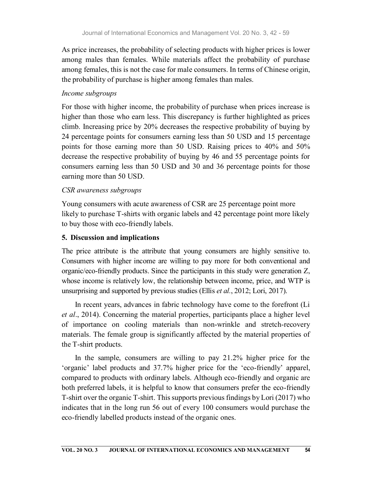As price increases, the probability of selecting products with higher prices is lower among males than females. While materials affect the probability of purchase among females, this is not the case for male consumers. In terms of Chinese origin, the probability of purchase is higher among females than males.

## Income subgroups

For those with higher income, the probability of purchase when prices increase is higher than those who earn less. This discrepancy is further highlighted as prices climb. Increasing price by 20% decreases the respective probability of buying by 24 percentage points for consumers earning less than 50 USD and 15 percentage points for those earning more than 50 USD. Raising prices to 40% and 50% decrease the respective probability of buying by 46 and 55 percentage points for consumers earning less than 50 USD and 30 and 36 percentage points for those earning more than 50 USD.

# CSR awareness subgroups

Young consumers with acute awareness of CSR are 25 percentage point more likely to purchase T-shirts with organic labels and 42 percentage point more likely to buy those with eco-friendly labels.

## 5. Discussion and implications

The price attribute is the attribute that young consumers are highly sensitive to. Consumers with higher income are willing to pay more for both conventional and organic/eco-friendly products. Since the participants in this study were generation Z, whose income is relatively low, the relationship between income, price, and WTP is unsurprising and supported by previous studies (Ellis *et al.*, 2012; Lori, 2017).

In recent years, advances in fabric technology have come to the forefront (Li et al., 2014). Concerning the material properties, participants place a higher level of importance on cooling materials than non-wrinkle and stretch-recovery materials. The female group is significantly affected by the material properties of the T-shirt products.

In the sample, consumers are willing to pay 21.2% higher price for the 'organic' label products and 37.7% higher price for the 'eco-friendly' apparel, compared to products with ordinary labels. Although eco-friendly and organic are both preferred labels, it is helpful to know that consumers prefer the eco-friendly T-shirt over the organic T-shirt. This supports previous findings by Lori (2017) who indicates that in the long run 56 out of every 100 consumers would purchase the eco-friendly labelled products instead of the organic ones.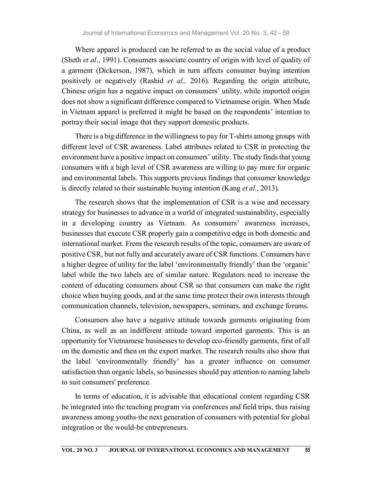Where apparel is produced can be referred to as the social value of a product (Sheth et al., 1991). Consumers associate country of origin with level of quality of a garment (Dickerson, 1987), which in turn affects consumer buying intention positively or negatively (Rashid et al., 2016). Regarding the origin attribute, Chinese origin has a negative impact on consumers' utility, while imported origin does not show a significant difference compared to Vietnamese origin. When Made in Vietnam apparel is preferred it might be based on the respondents' intention to portray their social image that they support domestic products.

There is a big difference in the willingness to pay for T-shirts among groups with different level of CSR awareness. Label attributes related to CSR in protecting the environment have a positive impact on consumers' utility. The study finds that young consumers with a high level of CSR awareness are willing to pay more for organic and environmental labels. This supports previous findings that consumer knowledge is directly related to their sustainable buying intention (Kang *et al.*, 2013).

The research shows that the implementation of CSR is a wise and necessary strategy for businesses to advance in a world of integrated sustainability, especially in a developing country as Vietnam. As consumers' awareness increases, businesses that execute CSR properly gain a competitive edge in both domestic and international market. From the research results of the topic, consumers are aware of positive CSR, but not fully and accurately aware of CSR functions. Consumers have a higher degree of utility for the label 'environmentally friendly' than the 'organic' label while the two labels are of similar nature. Regulators need to increase the content of educating consumers about CSR so that consumers can make the right choice when buying goods, and at the same time protect their own interests through communication channels, television, newspapers, seminars, and exchange forums.

Consumers also have a negative attitude towards garments originating from China, as well as an indifferent attitude toward imported garments. This is an opportunity for Vietnamese businesses to develop eco-friendly garments, first of all on the domestic and then on the export market. The research results also show that the label 'environmentally friendly' has a greater influence on consumer satisfaction than organic labels, so businesses should pay attention to naming labels to suit consumers' preference.

In terms of education, it is advisable that educational content regarding CSR be integrated into the teaching program via conferences and field trips, thus raising awareness among youths-the next generation of consumers with potential for global integration or the would-be entrepreneurs.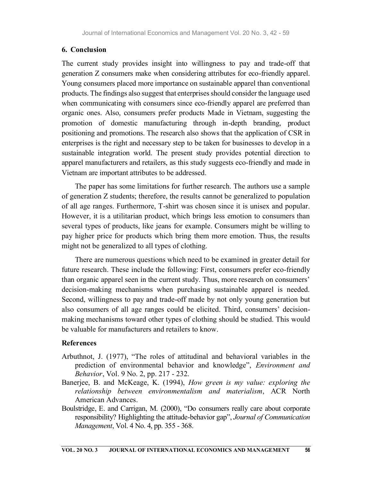#### 6. Conclusion

The current study provides insight into willingness to pay and trade-off that generation Z consumers make when considering attributes for eco-friendly apparel. Young consumers placed more importance on sustainable apparel than conventional products. The findings also suggest that enterprises should consider the language used when communicating with consumers since eco-friendly apparel are preferred than organic ones. Also, consumers prefer products Made in Vietnam, suggesting the promotion of domestic manufacturing through in-depth branding, product positioning and promotions. The research also shows that the application of CSR in enterprises is the right and necessary step to be taken for businesses to develop in a sustainable integration world. The present study provides potential direction to apparel manufacturers and retailers, as this study suggests eco-friendly and made in Vietnam are important attributes to be addressed.

The paper has some limitations for further research. The authors use a sample of generation Z students; therefore, the results cannot be generalized to population of all age ranges. Furthermore, T-shirt was chosen since it is unisex and popular. However, it is a utilitarian product, which brings less emotion to consumers than several types of products, like jeans for example. Consumers might be willing to pay higher price for products which bring them more emotion. Thus, the results might not be generalized to all types of clothing.

There are numerous questions which need to be examined in greater detail for future research. These include the following: First, consumers prefer eco-friendly than organic apparel seen in the current study. Thus, more research on consumers' decision-making mechanisms when purchasing sustainable apparel is needed. Second, willingness to pay and trade-off made by not only young generation but also consumers of all age ranges could be elicited. Third, consumers' decision making mechanisms toward other types of clothing should be studied. This would be valuable for manufacturers and retailers to know.

#### References

- Arbuthnot, J. (1977), "The roles of attitudinal and behavioral variables in the prediction of environmental behavior and knowledge", Environment and Behavior, Vol. 9 No. 2, pp. 217 - 232.
- Banerjee, B. and McKeage, K. (1994), How green is my value: exploring the relationship between environmentalism and materialism, ACR North American Advances.
- Boulstridge, E. and Carrigan, M. (2000), "Do consumers really care about corporate responsibility? Highlighting the attitude-behavior gap", Journal of Communication Management, Vol. 4 No. 4, pp. 355 - 368.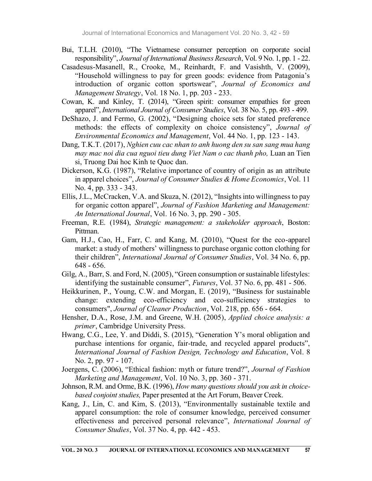- Bui, T.L.H. (2010), "The Vietnamese consumer perception on corporate social responsibility", Journal of International Business Research, Vol. 9 No. 1, pp. 1 - 22.
- Casadesus-Masanell, R., Crooke, M., Reinhardt, F. and Vasishth, V. (2009), "Household willingness to pay for green goods: evidence from Patagonia's introduction of organic cotton sportswear", Journal of Economics and Management Strategy, Vol. 18 No. 1, pp. 203 - 233.
- Cowan, K. and Kinley, T. (2014), "Green spirit: consumer empathies for green apparel", International Journal of Consumer Studies, Vol. 38 No. 5, pp. 493 - 499.
- DeShazo, J. and Fermo, G. (2002), "Designing choice sets for stated preference methods: the effects of complexity on choice consistency", Journal of Environmental Economics and Management, Vol. 44 No. 1, pp. 123 - 143.
- Dang, T.K.T. (2017), Nghien cuu cac nhan to anh huong den su san sang mua hang may mac noi dia cua nguoi tieu dung Viet Nam o cac thanh pho, Luan an Tien si, Truong Dai hoc Kinh te Quoc dan.
- Dickerson, K.G. (1987), "Relative importance of country of origin as an attribute in apparel choices", Journal of Consumer Studies & Home Economics, Vol. 11 No. 4, pp. 333 - 343.
- Ellis, J.L., McCracken, V.A. and Skuza, N. (2012), "Insights into willingness to pay for organic cotton apparel", Journal of Fashion Marketing and Management: An International Journal, Vol. 16 No. 3, pp. 290 - 305.
- Freeman, R.E. (1984), Strategic management: a stakeholder approach, Boston: Pittman.
- Gam, H.J., Cao, H., Farr, C. and Kang, M. (2010), "Quest for the eco-apparel market: a study of mothers' willingness to purchase organic cotton clothing for their children", International Journal of Consumer Studies, Vol. 34 No. 6, pp. 648 - 656.
- Gilg, A., Barr, S. and Ford, N. (2005), "Green consumption or sustainable lifestyles: identifying the sustainable consumer", *Futures*, Vol. 37 No. 6, pp. 481 - 506.
- Heikkurinen, P., Young, C.W. and Morgan, E. (2019), "Business for sustainable change: extending eco-efficiency and eco-sufficiency strategies to consumers", Journal of Cleaner Production, Vol. 218, pp. 656 - 664.
- Hensher, D.A., Rose, J.M. and Greene, W.H. (2005), *Applied choice analysis: a* primer, Cambridge University Press.
- Hwang, C.G., Lee, Y. and Diddi, S. (2015), "Generation Y's moral obligation and purchase intentions for organic, fair-trade, and recycled apparel products", International Journal of Fashion Design, Technology and Education, Vol. 8 No. 2, pp. 97 - 107.
- Joergens, C. (2006), "Ethical fashion: myth or future trend?", Journal of Fashion Marketing and Management, Vol. 10 No. 3, pp. 360 - 371.
- Johnson, R.M. and Orme, B.K. (1996), How many questions should you ask in choicebased conjoint studies, Paper presented at the Art Forum, Beaver Creek.
- Kang, J., Lin, C. and Kim, S. (2013), "Environmentally sustainable textile and apparel consumption: the role of consumer knowledge, perceived consumer effectiveness and perceived personal relevance", International Journal of Consumer Studies, Vol. 37 No. 4, pp. 442 - 453.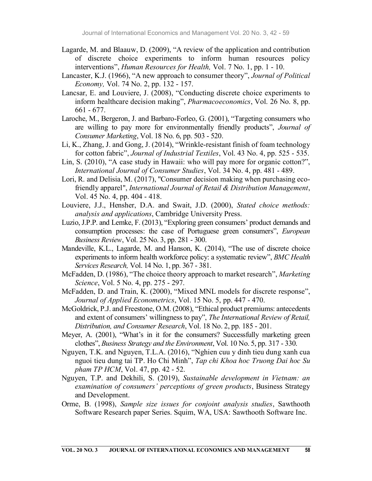- Lagarde, M. and Blaauw, D. (2009), "A review of the application and contribution of discrete choice experiments to inform human resources policy interventions", Human Resources for Health, Vol. 7 No. 1, pp. 1 - 10.
- Lancaster, K.J. (1966), "A new approach to consumer theory", *Journal of Political* Economy, Vol. 74 No. 2, pp. 132 - 157.
- Lancsar, E. and Louviere, J. (2008), "Conducting discrete choice experiments to inform healthcare decision making", Pharmacoeconomics, Vol. 26 No. 8, pp. 661 - 677.
- Laroche, M., Bergeron, J. and Barbaro-Forleo, G. (2001), "Targeting consumers who are willing to pay more for environmentally friendly products", Journal of Consumer Marketing, Vol. 18 No. 6, pp. 503 - 520.
- Li, K., Zhang, J. and Gong, J. (2014), "Wrinkle-resistant finish of foam technology for cotton fabric", Journal of Industrial Textiles, Vol. 43 No. 4, pp. 525 - 535.
- Lin, S. (2010), "A case study in Hawaii: who will pay more for organic cotton?", International Journal of Consumer Studies, Vol. 34 No. 4, pp. 481 - 489.
- Lori, R. and Delisia, M. (2017), "Consumer decision making when purchasing ecofriendly apparel", *International Journal of Retail & Distribution Management*, Vol. 45 No. 4, pp. 404 - 418.
- Louviere, J.J., Hensher, D.A. and Swait, J.D. (2000), Stated choice methods: analysis and applications, Cambridge University Press.
- Luzio, J.P.P. and Lemke, F. (2013), "Exploring green consumers' product demands and consumption processes: the case of Portuguese green consumers", European Business Review, Vol. 25 No. 3, pp. 281 - 300.
- Mandeville, K.L., Lagarde, M. and Hanson, K. (2014), "The use of discrete choice experiments to inform health workforce policy: a systematic review", BMC Health Services Research, Vol. 14 No. 1, pp. 367 - 381.
- McFadden, D. (1986), "The choice theory approach to market research", Marketing Science, Vol. 5 No. 4, pp. 275 - 297.
- McFadden, D. and Train, K. (2000), "Mixed MNL models for discrete response", Journal of Applied Econometrics, Vol. 15 No. 5, pp. 447 - 470.
- McGoldrick, P.J. and Freestone, O.M. (2008), "Ethical product premiums: antecedents and extent of consumers' willingness to pay", The International Review of Retail, Distribution, and Consumer Research, Vol. 18 No. 2, pp. 185 - 201.
- Meyer, A. (2001), "What's in it for the consumers? Successfully marketing green clothes", Business Strategy and the Environment, Vol. 10 No. 5, pp. 317 - 330.
- Nguyen, T.K. and Nguyen, T.L.A. (2016), "Nghien cuu y dinh tieu dung xanh cua nguoi tieu dung tai TP. Ho Chi Minh", Tap chi Khoa hoc Truong Dai hoc Su pham TP HCM, Vol. 47, pp. 42 - 52.
- Nguyen, T.P. and Dekhili, S. (2019), Sustainable development in Vietnam: an examination of consumers' perceptions of green products, Business Strategy and Development.
- Orme, B. (1998), Sample size issues for conjoint analysis studies, Sawthooth Software Research paper Series. Squim, WA, USA: Sawthooth Software Inc.